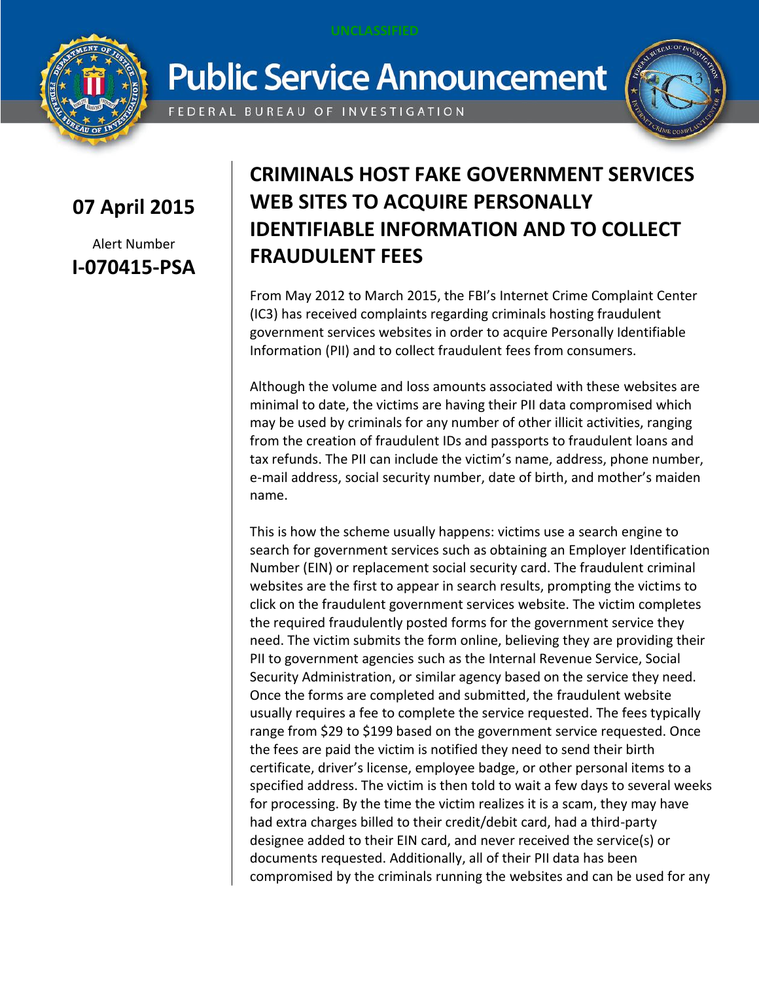

## **Public Service Announcement**

FEDERAL BUREAU OF INVESTIGATION



## **07 April 2015**

Alert Number **I-070415-PSA**

## **CRIMINALS HOST FAKE GOVERNMENT SERVICES WEB SITES TO ACQUIRE PERSONALLY IDENTIFIABLE INFORMATION AND TO COLLECT FRAUDULENT FEES**

From May 2012 to March 2015, the FBI's Internet Crime Complaint Center (IC3) has received complaints regarding criminals hosting fraudulent government services websites in order to acquire Personally Identifiable Information (PII) and to collect fraudulent fees from consumers.

Although the volume and loss amounts associated with these websites are minimal to date, the victims are having their PII data compromised which may be used by criminals for any number of other illicit activities, ranging from the creation of fraudulent IDs and passports to fraudulent loans and tax refunds. The PII can include the victim's name, address, phone number, e-mail address, social security number, date of birth, and mother's maiden name.

This is how the scheme usually happens: victims use a search engine to search for government services such as obtaining an Employer Identification Number (EIN) or replacement social security card. The fraudulent criminal websites are the first to appear in search results, prompting the victims to click on the fraudulent government services website. The victim completes the required fraudulently posted forms for the government service they need. The victim submits the form online, believing they are providing their PII to government agencies such as the Internal Revenue Service, Social Security Administration, or similar agency based on the service they need. Once the forms are completed and submitted, the fraudulent website usually requires a fee to complete the service requested. The fees typically range from \$29 to \$199 based on the government service requested. Once the fees are paid the victim is notified they need to send their birth certificate, driver's license, employee badge, or other personal items to a specified address. The victim is then told to wait a few days to several weeks for processing. By the time the victim realizes it is a scam, they may have had extra charges billed to their credit/debit card, had a third-party designee added to their EIN card, and never received the service(s) or documents requested. Additionally, all of their PII data has been compromised by the criminals running the websites and can be used for any